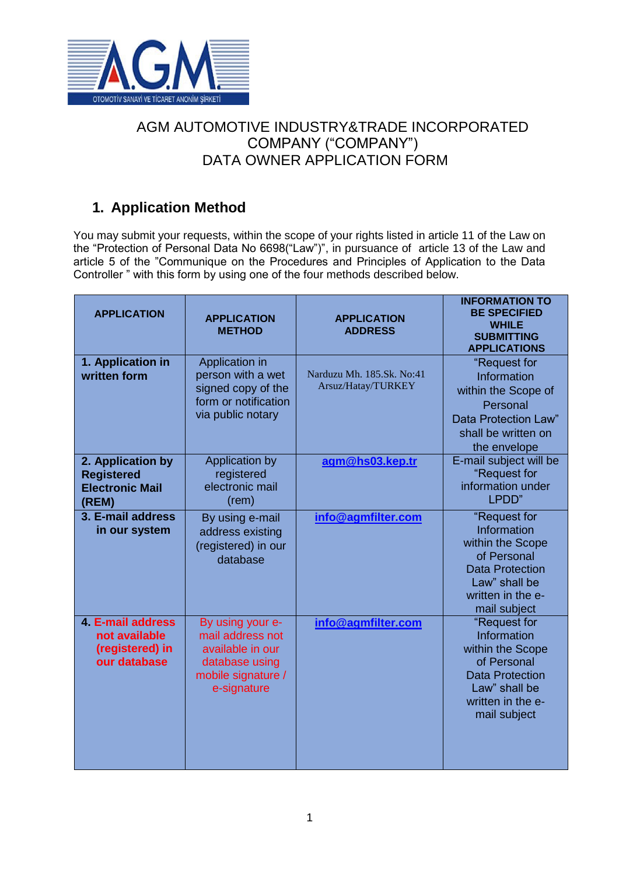

### AGM AUTOMOTIVE INDUSTRY&TRADE INCORPORATED COMPANY ("COMPANY") DATA OWNER APPLICATION FORM

### **1. Application Method**

You may submit your requests, within the scope of your rights listed in article 11 of the Law on the "Protection of Personal Data No 6698("Law")", in pursuance of article 13 of the Law and article 5 of the "Communique on the Procedures and Principles of Application to the Data Controller " with this form by using one of the four methods described below.

| <b>APPLICATION</b>                                                           | <b>APPLICATION</b><br><b>METHOD</b>                                                                             | <b>APPLICATION</b><br><b>ADDRESS</b>            | <b>INFORMATION TO</b><br><b>BE SPECIFIED</b><br><b>WHILE</b><br><b>SUBMITTING</b><br><b>APPLICATIONS</b>                                       |
|------------------------------------------------------------------------------|-----------------------------------------------------------------------------------------------------------------|-------------------------------------------------|------------------------------------------------------------------------------------------------------------------------------------------------|
| 1. Application in<br>written form                                            | Application in<br>person with a wet<br>signed copy of the<br>form or notification<br>via public notary          | Narduzu Mh. 185.Sk. No:41<br>Arsuz/Hatay/TURKEY | "Request for<br>Information<br>within the Scope of<br>Personal<br>Data Protection Law"<br>shall be written on<br>the envelope                  |
| 2. Application by<br><b>Registered</b><br><b>Electronic Mail</b><br>(REM)    | Application by<br>registered<br>electronic mail<br>(rem)                                                        | agm@hs03.kep.tr                                 | E-mail subject will be<br>"Request for<br>information under<br>LPDD"                                                                           |
| 3. E-mail address<br>in our system                                           | By using e-mail<br>address existing<br>(registered) in our<br>database                                          | info@agmfilter.com                              | "Request for<br>Information<br>within the Scope<br>of Personal<br><b>Data Protection</b><br>Law" shall be<br>written in the e-<br>mail subject |
| <b>4. E-mail address</b><br>not available<br>(registered) in<br>our database | By using your e-<br>mail address not<br>available in our<br>database using<br>mobile signature /<br>e-signature | info@agmfilter.com                              | "Request for<br>Information<br>within the Scope<br>of Personal<br><b>Data Protection</b><br>Law" shall be<br>written in the e-<br>mail subject |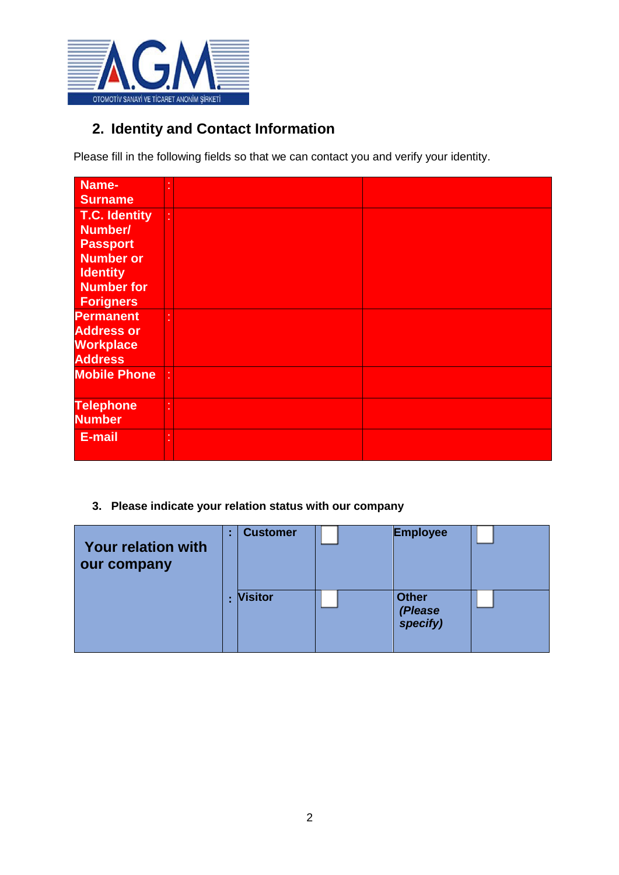

## **2. Identity and Contact Information**

Please fill in the following fields so that we can contact you and verify your identity.

| Name-                |  |  |
|----------------------|--|--|
| <b>Surname</b>       |  |  |
| <b>T.C. Identity</b> |  |  |
| Number/              |  |  |
| <b>Passport</b>      |  |  |
| <b>Number or</b>     |  |  |
| <b>Identity</b>      |  |  |
| <b>Number for</b>    |  |  |
| <b>Forigners</b>     |  |  |
| <b>Permanent</b>     |  |  |
| <b>Address or</b>    |  |  |
| <b>Workplace</b>     |  |  |
| <b>Address</b>       |  |  |
| <b>Mobile Phone</b>  |  |  |
|                      |  |  |
| <b>Telephone</b>     |  |  |
| <b>Number</b>        |  |  |
| E-mail               |  |  |
|                      |  |  |
|                      |  |  |

**3. Please indicate your relation status with our company**

| <b>Your relation with</b><br>our company | × | <b>Customer</b> | <b>Employee</b>                     |  |
|------------------------------------------|---|-----------------|-------------------------------------|--|
|                                          |   | <b>Visitor</b>  | <b>Other</b><br>(Please<br>specify) |  |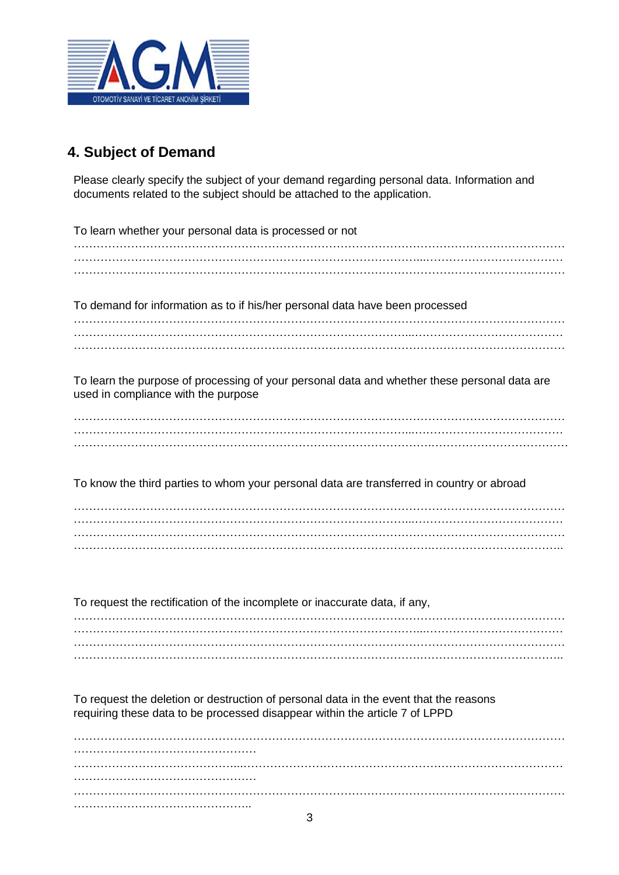

# **4. Subject of Demand**

Please clearly specify the subject of your demand regarding personal data. Information and documents related to the subject should be attached to the application.

| To learn whether your personal data is processed or not                                      |
|----------------------------------------------------------------------------------------------|
|                                                                                              |
|                                                                                              |
|                                                                                              |
|                                                                                              |
| To demand for information as to if his/her personal data have been processed                 |
|                                                                                              |
|                                                                                              |
|                                                                                              |
|                                                                                              |
| To learn the purpose of processing of your personal data and whether these personal data are |
| used in compliance with the purpose                                                          |
|                                                                                              |
|                                                                                              |
|                                                                                              |
|                                                                                              |
|                                                                                              |
| To know the third parties to whom your personal data are transferred in country or abroad    |
|                                                                                              |
|                                                                                              |
|                                                                                              |
|                                                                                              |
|                                                                                              |
|                                                                                              |
|                                                                                              |
| To request the rectification of the incomplete or inaccurate data, if any,                   |
|                                                                                              |
|                                                                                              |
|                                                                                              |
|                                                                                              |
|                                                                                              |
|                                                                                              |
| To request the deletion or destruction of personal data in the event that the reasons        |
| requiring these data to be processed disappear within the article 7 of LPPD                  |
|                                                                                              |
|                                                                                              |
|                                                                                              |
|                                                                                              |
|                                                                                              |
|                                                                                              |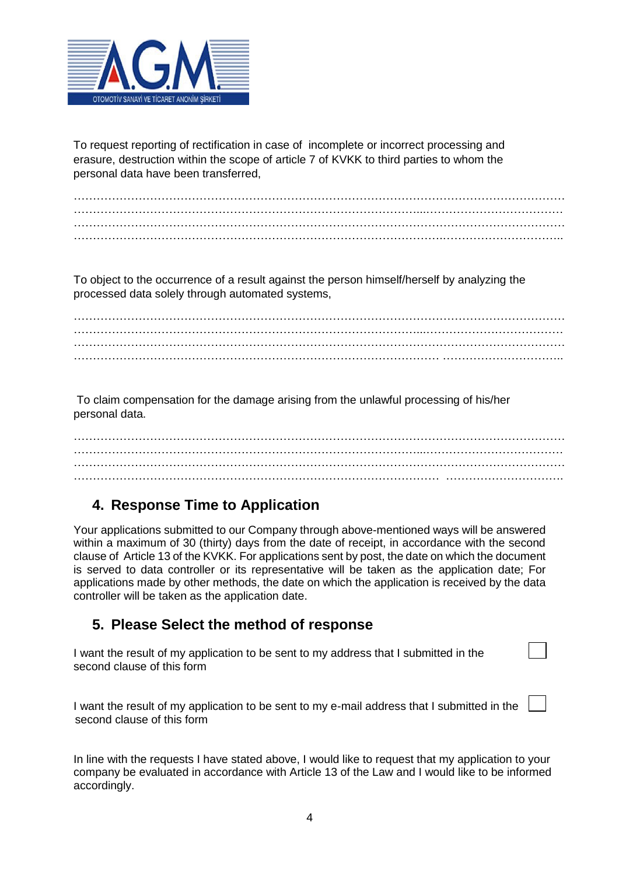

To request reporting of rectification in case of incomplete or incorrect processing and erasure, destruction within the scope of article 7 of KVKK to third parties to whom the personal data have been transferred,

………………………………………………………………………………………………………………… ………………………………………………………………………………...………………………………  $\mathcal{L}^{\text{max}}_{\text{max}}$ …………………………………………………………………………………….…………………………..

To object to the occurrence of a result against the person himself/herself by analyzing the processed data solely through automated systems,

………………………………………………………………………………………………………………… ………………………………………………………………………………...……………………………… ………………………………………………………………………………………………………………… …………………………………………………………………………………… …………………………..

To claim compensation for the damage arising from the unlawful processing of his/her personal data.

………………………………………………………………………………………………………………… ………………………………………………………………………………...……………………………… ………………………………………………………………………………………………………………… …………………………………………………………………………………… ………………………….

### **4. Response Time to Application**

Your applications submitted to our Company through above-mentioned ways will be answered within a maximum of 30 (thirty) days from the date of receipt, in accordance with the second clause of Article 13 of the KVKK. For applications sent by post, the date on which the document is served to data controller or its representative will be taken as the application date; For applications made by other methods, the date on which the application is received by the data controller will be taken as the application date.

### **5. Please Select the method of response**

I want the result of my application to be sent to my address that I submitted in the second clause of this form

I want the result of my application to be sent to my e-mail address that I submitted in the second clause of this form

In line with the requests I have stated above, I would like to request that my application to your company be evaluated in accordance with Article 13 of the Law and I would like to be informed accordingly.